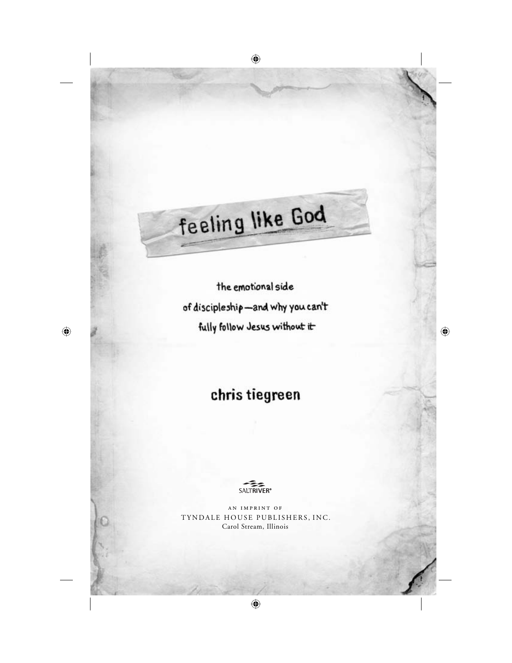the emotional side of discipleship-and why you can't fully follow Jesus without it

# chris tiegreen



an imprint of TYNDALE HOUSE PUBLISHERS, INC. Carol Stream, Illinois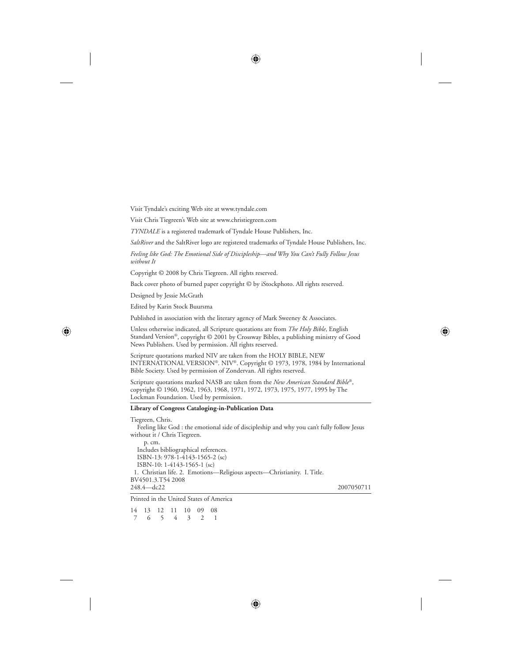Visit Tyndale's exciting Web site at www.tyndale.com

Visit Chris Tiegreen's Web site at www.christiegreen.com

*TYNDALE* is a registered trademark of Tyndale House Publishers, Inc.

*SaltRiver* and the SaltRiver logo are registered trademarks of Tyndale House Publishers, Inc.

*Feeling like God: The Emotional Side of Discipleship—and Why You Can't Fully Follow Jesus without It*

Copyright © 2008 by Chris Tiegreen. All rights reserved.

Back cover photo of burned paper copyright © by iStockphoto. All rights reserved.

Designed by Jessie McGrath

Edited by Karin Stock Buursma

Published in association with the literary agency of Mark Sweeney & Associates.

Unless otherwise indicated, all Scripture quotations are from *The Holy Bible*, English Standard Version®, copyright © 2001 by Crossway Bibles, a publishing ministry of Good News Publishers. Used by permission. All rights reserved.

Scripture quotations marked NIV are taken from the HOLY BIBLE, NEW INTERNATIONAL VERSION®. NIV®. Copyright © 1973, 1978, 1984 by International Bible Society. Used by permission of Zondervan. All rights reserved.

Scripture quotations marked NASB are taken from the *New American Standard Bible*®, copyright © 1960, 1962, 1963, 1968, 1971, 1972, 1973, 1975, 1977, 1995 by The Lockman Foundation. Used by permission.

#### **Library of Congress Cataloging-in-Publication Data**

Tiegreen, Chris.

 Feeling like God : the emotional side of discipleship and why you can't fully follow Jesus without it / Chris Tiegreen.

 p. cm. Includes bibliographical references. ISBN-13: 978-1-4143-1565-2 (sc) ISBN-10: 1-4143-1565-1 (sc) 1. Christian life. 2. Emotions—Religious aspects—Christianity. I. Title. BV4501.3.T54 2008 248.4—dc22 2007050711

Printed in the United States of America

14 13 12 11 10 09 08 7 6 5 4 3 2 1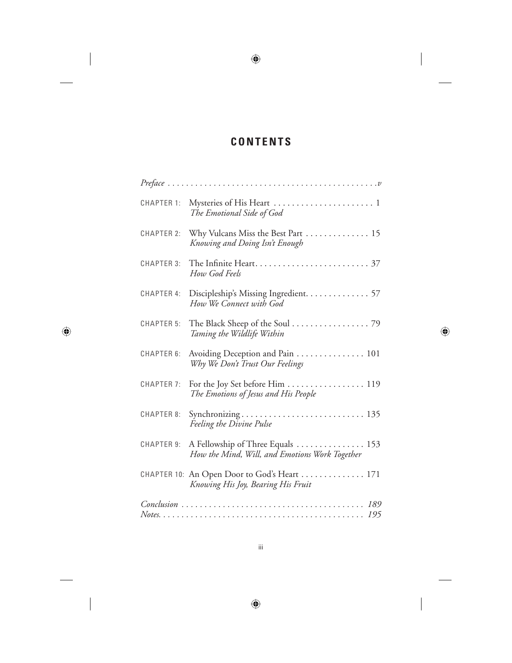# **CONTENTS**

| CHAPTER 1:        | The Emotional Side of God                                                          |  |
|-------------------|------------------------------------------------------------------------------------|--|
| <b>CHAPTER 2:</b> | Why Vulcans Miss the Best Part  15<br>Knowing and Doing Isn't Enough               |  |
|                   | How God Feels                                                                      |  |
|                   | CHAPTER 4: Discipleship's Missing Ingredient. 57<br>How We Connect with God        |  |
| <b>CHAPTER 5:</b> | The Black Sheep of the Soul 79<br>Taming the Wildlife Within                       |  |
| CHAPTER 6:        | Avoiding Deception and Pain 101<br>Why We Don't Trust Our Feelings                 |  |
| CHAPTER 7:        | For the Joy Set before Him 119<br>The Emotions of Jesus and His People             |  |
| CHAPTER 8:        | Feeling the Divine Pulse                                                           |  |
| CHAPTER 9:        | A Fellowship of Three Equals 153<br>How the Mind, Will, and Emotions Work Together |  |
|                   | CHAPTER 10: An Open Door to God's Heart  171<br>Knowing His Joy, Bearing His Fruit |  |
|                   |                                                                                    |  |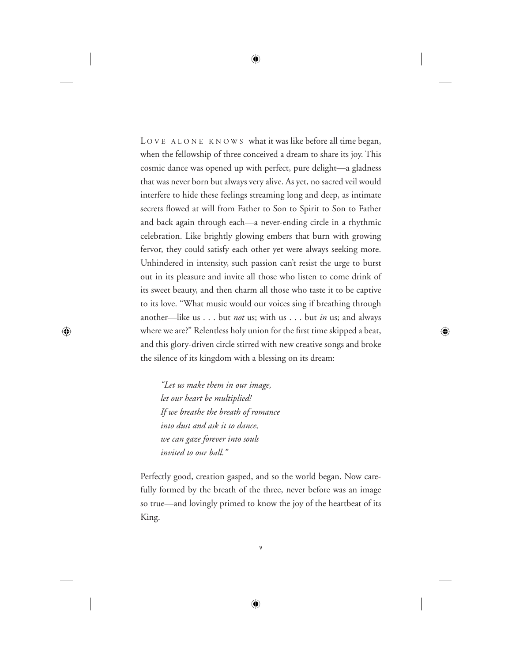LOVE ALONE KNOWS what it was like before all time began, when the fellowship of three conceived a dream to share its joy. This cosmic dance was opened up with perfect, pure delight—a gladness that was never born but always very alive. As yet, no sacred veil would interfere to hide these feelings streaming long and deep, as intimate secrets flowed at will from Father to Son to Spirit to Son to Father and back again through each—a never-ending circle in a rhythmic celebration. Like brightly glowing embers that burn with growing fervor, they could satisfy each other yet were always seeking more. Unhindered in intensity, such passion can't resist the urge to burst out in its pleasure and invite all those who listen to come drink of its sweet beauty, and then charm all those who taste it to be captive to its love. "What music would our voices sing if breathing through another—like us . . . but *not* us; with us . . . but *in* us; and always where we are?" Relentless holy union for the first time skipped a beat, and this glory-driven circle stirred with new creative songs and broke the silence of its kingdom with a blessing on its dream:

*"Let us make them in our image, let our heart be multiplied! If we breathe the breath of romance into dust and ask it to dance, we can gaze forever into souls invited to our ball."* 

Perfectly good, creation gasped, and so the world began. Now carefully formed by the breath of the three, never before was an image so true—and lovingly primed to know the joy of the heartbeat of its King.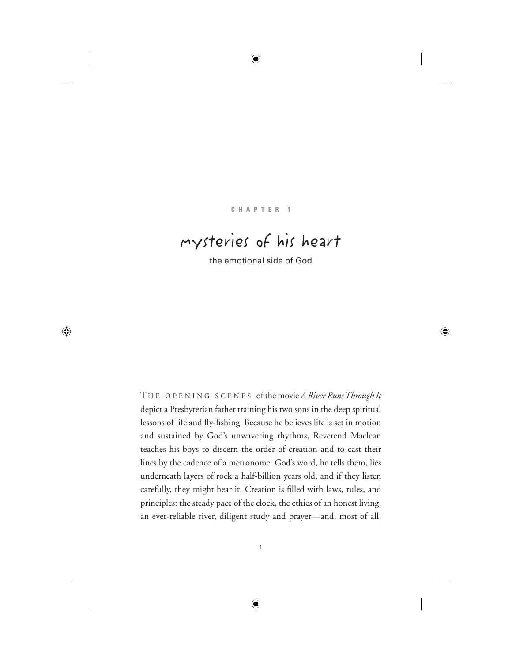#### **CHAPTER 1**

# mysteries of his heart

the emotional side of God

T HE OPENING SCENES of the movie *A River Runs Through It* depict a Presbyterian father training his two sons in the deep spiritual lessons of life and fly-fishing. Because he believes life is set in motion and sustained by God's unwavering rhythms, Reverend Maclean teaches his boys to discern the order of creation and to cast their lines by the cadence of a metronome. God's word, he tells them, lies underneath layers of rock a half-billion years old, and if they listen carefully, they might hear it. Creation is filled with laws, rules, and principles: the steady pace of the clock, the ethics of an honest living, an ever-reliable river, diligent study and prayer—and, most of all,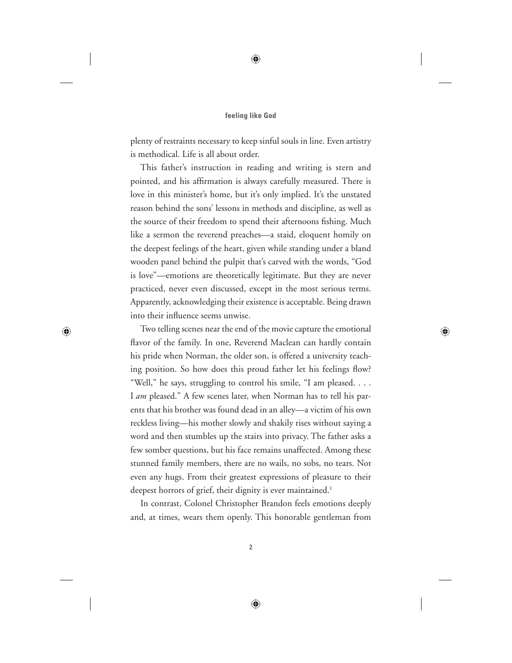plenty of restraints necessary to keep sinful souls in line. Even artistry is methodical. Life is all about order.

This father's instruction in reading and writing is stern and pointed, and his affirmation is always carefully measured. There is love in this minister's home, but it's only implied. It's the unstated reason behind the sons' lessons in methods and discipline, as well as the source of their freedom to spend their afternoons fishing. Much like a sermon the reverend preaches—a staid, eloquent homily on the deepest feelings of the heart, given while standing under a bland wooden panel behind the pulpit that's carved with the words, "God is love"—emotions are theoretically legitimate. But they are never practiced, never even discussed, except in the most serious terms. Apparently, acknowledging their existence is acceptable. Being drawn into their influence seems unwise.

Two telling scenes near the end of the movie capture the emotional flavor of the family. In one, Reverend Maclean can hardly contain his pride when Norman, the older son, is offered a university teaching position. So how does this proud father let his feelings flow? "Well," he says, struggling to control his smile, "I am pleased. . . . I *am* pleased." A few scenes later, when Norman has to tell his parents that his brother was found dead in an alley—a victim of his own reckless living—his mother slowly and shakily rises without saying a word and then stumbles up the stairs into privacy. The father asks a few somber questions, but his face remains unaffected. Among these stunned family members, there are no wails, no sobs, no tears. Not even any hugs. From their greatest expressions of pleasure to their deepest horrors of grief, their dignity is ever maintained.<sup>1</sup>

In contrast, Colonel Christopher Brandon feels emotions deeply and, at times, wears them openly. This honorable gentleman from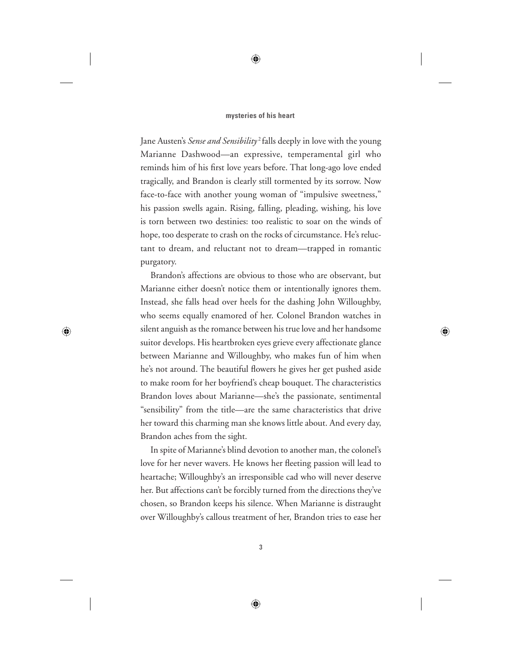Jane Austen's *Sense and Sensibility* 2 falls deeply in love with the young Marianne Dashwood—an expressive, temperamental girl who reminds him of his first love years before. That long-ago love ended tragically, and Brandon is clearly still tormented by its sorrow. Now face-to-face with another young woman of "impulsive sweetness," his passion swells again. Rising, falling, pleading, wishing, his love is torn between two destinies: too realistic to soar on the winds of hope, too desperate to crash on the rocks of circumstance. He's reluctant to dream, and reluctant not to dream—trapped in romantic purgatory.

Brandon's affections are obvious to those who are observant, but Marianne either doesn't notice them or intentionally ignores them. Instead, she falls head over heels for the dashing John Willoughby, who seems equally enamored of her. Colonel Brandon watches in silent anguish as the romance between his true love and her handsome suitor develops. His heartbroken eyes grieve every affectionate glance between Marianne and Willoughby, who makes fun of him when he's not around. The beautiful flowers he gives her get pushed aside to make room for her boyfriend's cheap bouquet. The characteristics Brandon loves about Marianne—she's the passionate, sentimental "sensibility" from the title—are the same characteristics that drive her toward this charming man she knows little about. And every day, Brandon aches from the sight.

In spite of Marianne's blind devotion to another man, the colonel's love for her never wavers. He knows her fleeting passion will lead to heartache; Willoughby's an irresponsible cad who will never deserve her. But affections can't be forcibly turned from the directions they've chosen, so Brandon keeps his silence. When Marianne is distraught over Willoughby's callous treatment of her, Brandon tries to ease her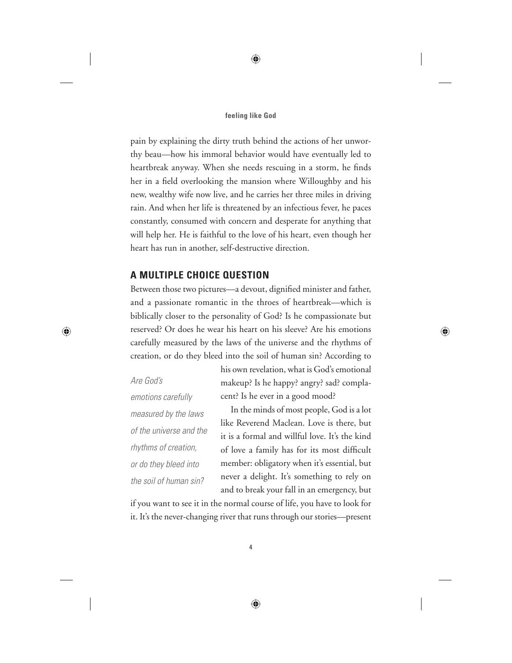pain by explaining the dirty truth behind the actions of her unworthy beau—how his immoral behavior would have eventually led to heartbreak anyway. When she needs rescuing in a storm, he finds her in a field overlooking the mansion where Willoughby and his new, wealthy wife now live, and he carries her three miles in driving rain. And when her life is threatened by an infectious fever, he paces constantly, consumed with concern and desperate for anything that will help her. He is faithful to the love of his heart, even though her heart has run in another, self-destructive direction.

## **A MULTIPLE CHOICE QUESTION**

Between those two pictures—a devout, dignified minister and father, and a passionate romantic in the throes of heartbreak—which is biblically closer to the personality of God? Is he compassionate but reserved? Or does he wear his heart on his sleeve? Are his emotions carefully measured by the laws of the universe and the rhythms of creation, or do they bleed into the soil of human sin? According to

*Are God's emotions carefully measured by the laws of the universe and the rhythms of creation, or do they bleed into the soil of human sin?*

his own revelation, what is God's emotional makeup? Is he happy? angry? sad? complacent? Is he ever in a good mood?

In the minds of most people, God is a lot like Reverend Maclean. Love is there, but it is a formal and willful love. It's the kind of love a family has for its most difficult member: obligatory when it's essential, but never a delight. It's something to rely on and to break your fall in an emergency, but

if you want to see it in the normal course of life, you have to look for it. It's the never-changing river that runs through our stories—present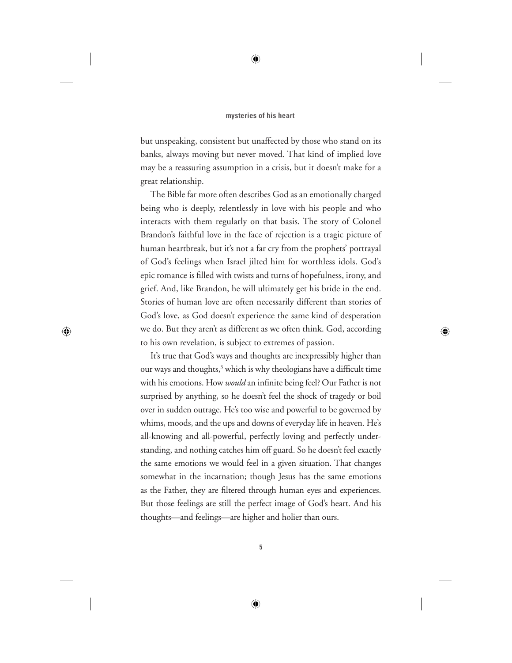but unspeaking, consistent but unaffected by those who stand on its banks, always moving but never moved. That kind of implied love may be a reassuring assumption in a crisis, but it doesn't make for a great relationship.

The Bible far more often describes God as an emotionally charged being who is deeply, relentlessly in love with his people and who interacts with them regularly on that basis. The story of Colonel Brandon's faithful love in the face of rejection is a tragic picture of human heartbreak, but it's not a far cry from the prophets' portrayal of God's feelings when Israel jilted him for worthless idols. God's epic romance is filled with twists and turns of hopefulness, irony, and grief. And, like Brandon, he will ultimately get his bride in the end. Stories of human love are often necessarily different than stories of God's love, as God doesn't experience the same kind of desperation we do. But they aren't as different as we often think. God, according to his own revelation, is subject to extremes of passion.

It's true that God's ways and thoughts are inexpressibly higher than our ways and thoughts,<sup>3</sup> which is why theologians have a difficult time with his emotions. How *would* an infinite being feel? Our Father is not surprised by anything, so he doesn't feel the shock of tragedy or boil over in sudden outrage. He's too wise and powerful to be governed by whims, moods, and the ups and downs of everyday life in heaven. He's all-knowing and all-powerful, perfectly loving and perfectly understanding, and nothing catches him off guard. So he doesn't feel exactly the same emotions we would feel in a given situation. That changes somewhat in the incarnation; though Jesus has the same emotions as the Father, they are filtered through human eyes and experiences. But those feelings are still the perfect image of God's heart. And his thoughts—and feelings—are higher and holier than ours.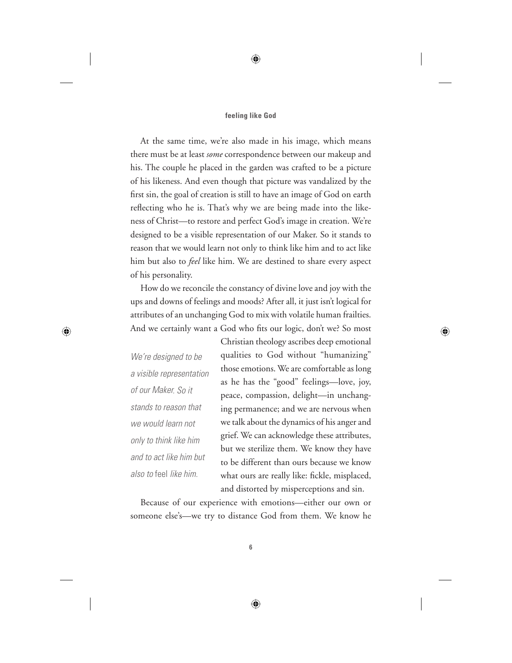At the same time, we're also made in his image, which means there must be at least *some* correspondence between our makeup and his. The couple he placed in the garden was crafted to be a picture of his likeness. And even though that picture was vandalized by the first sin, the goal of creation is still to have an image of God on earth reflecting who he is. That's why we are being made into the likeness of Christ—to restore and perfect God's image in creation. We're designed to be a visible representation of our Maker. So it stands to reason that we would learn not only to think like him and to act like him but also to *feel* like him. We are destined to share every aspect of his personality.

How do we reconcile the constancy of divine love and joy with the ups and downs of feelings and moods? After all, it just isn't logical for attributes of an unchanging God to mix with volatile human frailties. And we certainly want a God who fits our logic, don't we? So most

*We're designed to be a visible representation of our Maker. So it stands to reason that we would learn not only to think like him and to act like him but also to* feel *like him.*

Christian theology ascribes deep emotional qualities to God without "humanizing" those emotions. We are comfortable as long as he has the "good" feelings—love, joy, peace, compassion, delight—in unchanging permanence; and we are nervous when we talk about the dynamics of his anger and grief. We can acknowledge these attributes, but we sterilize them. We know they have to be different than ours because we know what ours are really like: fickle, misplaced, and distorted by misperceptions and sin.

Because of our experience with emotions—either our own or someone else's—we try to distance God from them. We know he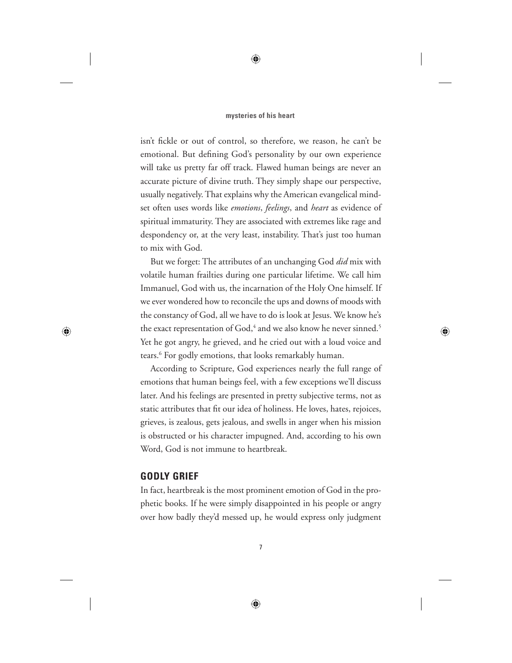#### **mysteries of his heart**

isn't fickle or out of control, so therefore, we reason, he can't be emotional. But defining God's personality by our own experience will take us pretty far off track. Flawed human beings are never an accurate picture of divine truth. They simply shape our perspective, usually negatively. That explains why the American evangelical mindset often uses words like *emotions*, *feelings*, and *heart* as evidence of spiritual immaturity. They are associated with extremes like rage and despondency or, at the very least, instability. That's just too human to mix with God.

But we forget: The attributes of an unchanging God *did* mix with volatile human frailties during one particular lifetime. We call him Immanuel, God with us, the incarnation of the Holy One himself. If we ever wondered how to reconcile the ups and downs of moods with the constancy of God, all we have to do is look at Jesus. We know he's the exact representation of God, $^4$  and we also know he never sinned. $^5$ Yet he got angry, he grieved, and he cried out with a loud voice and tears.6 For godly emotions, that looks remarkably human.

According to Scripture, God experiences nearly the full range of emotions that human beings feel, with a few exceptions we'll discuss later. And his feelings are presented in pretty subjective terms, not as static attributes that fit our idea of holiness. He loves, hates, rejoices, grieves, is zealous, gets jealous, and swells in anger when his mission is obstructed or his character impugned. And, according to his own Word, God is not immune to heartbreak.

### **GODLY GRIEF**

In fact, heartbreak is the most prominent emotion of God in the prophetic books. If he were simply disappointed in his people or angry over how badly they'd messed up, he would express only judgment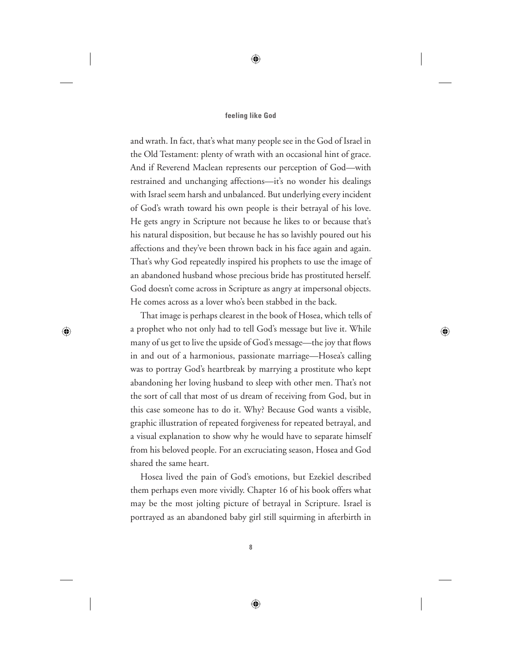and wrath. In fact, that's what many people see in the God of Israel in the Old Testament: plenty of wrath with an occasional hint of grace. And if Reverend Maclean represents our perception of God—with restrained and unchanging affections—it's no wonder his dealings with Israel seem harsh and unbalanced. But underlying every incident of God's wrath toward his own people is their betrayal of his love. He gets angry in Scripture not because he likes to or because that's his natural disposition, but because he has so lavishly poured out his affections and they've been thrown back in his face again and again. That's why God repeatedly inspired his prophets to use the image of an abandoned husband whose precious bride has prostituted herself. God doesn't come across in Scripture as angry at impersonal objects. He comes across as a lover who's been stabbed in the back.

That image is perhaps clearest in the book of Hosea, which tells of a prophet who not only had to tell God's message but live it. While many of us get to live the upside of God's message—the joy that flows in and out of a harmonious, passionate marriage—Hosea's calling was to portray God's heartbreak by marrying a prostitute who kept abandoning her loving husband to sleep with other men. That's not the sort of call that most of us dream of receiving from God, but in this case someone has to do it. Why? Because God wants a visible, graphic illustration of repeated forgiveness for repeated betrayal, and a visual explanation to show why he would have to separate himself from his beloved people. For an excruciating season, Hosea and God shared the same heart.

Hosea lived the pain of God's emotions, but Ezekiel described them perhaps even more vividly. Chapter 16 of his book offers what may be the most jolting picture of betrayal in Scripture. Israel is portrayed as an abandoned baby girl still squirming in afterbirth in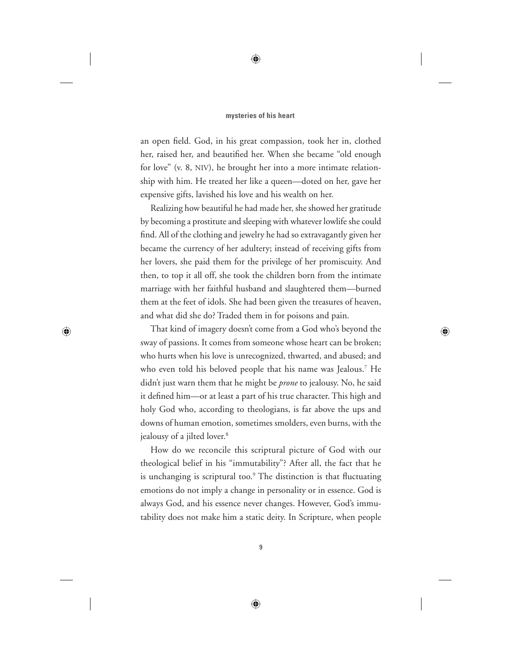an open field. God, in his great compassion, took her in, clothed her, raised her, and beautified her. When she became "old enough for love" (v. 8, NIV), he brought her into a more intimate relationship with him. He treated her like a queen—doted on her, gave her expensive gifts, lavished his love and his wealth on her.

Realizing how beautiful he had made her, she showed her gratitude by becoming a prostitute and sleeping with whatever lowlife she could find. All of the clothing and jewelry he had so extravagantly given her became the currency of her adultery; instead of receiving gifts from her lovers, she paid them for the privilege of her promiscuity. And then, to top it all off, she took the children born from the intimate marriage with her faithful husband and slaughtered them—burned them at the feet of idols. She had been given the treasures of heaven, and what did she do? Traded them in for poisons and pain.

That kind of imagery doesn't come from a God who's beyond the sway of passions. It comes from someone whose heart can be broken; who hurts when his love is unrecognized, thwarted, and abused; and who even told his beloved people that his name was Jealous.7 He didn't just warn them that he might be *prone* to jealousy. No, he said it defined him—or at least a part of his true character. This high and holy God who, according to theologians, is far above the ups and downs of human emotion, sometimes smolders, even burns, with the jealousy of a jilted lover.<sup>8</sup>

How do we reconcile this scriptural picture of God with our theological belief in his "immutability"? After all, the fact that he is unchanging is scriptural too.<sup>9</sup> The distinction is that fluctuating emotions do not imply a change in personality or in essence. God is always God, and his essence never changes. However, God's immutability does not make him a static deity. In Scripture, when people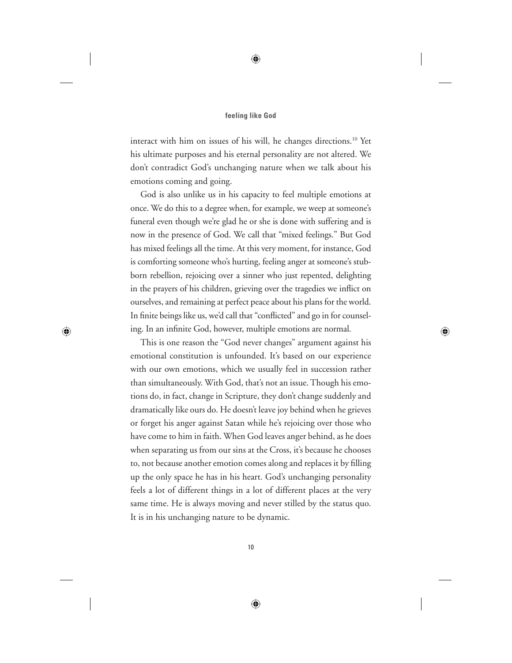interact with him on issues of his will, he changes directions.<sup>10</sup> Yet his ultimate purposes and his eternal personality are not altered. We don't contradict God's unchanging nature when we talk about his emotions coming and going.

God is also unlike us in his capacity to feel multiple emotions at once. We do this to a degree when, for example, we weep at someone's funeral even though we're glad he or she is done with suffering and is now in the presence of God. We call that "mixed feelings." But God has mixed feelings all the time. At this very moment, for instance, God is comforting someone who's hurting, feeling anger at someone's stubborn rebellion, rejoicing over a sinner who just repented, delighting in the prayers of his children, grieving over the tragedies we inflict on ourselves, and remaining at perfect peace about his plans for the world. In finite beings like us, we'd call that "conflicted" and go in for counseling. In an infinite God, however, multiple emotions are normal.

This is one reason the "God never changes" argument against his emotional constitution is unfounded. It's based on our experience with our own emotions, which we usually feel in succession rather than simultaneously. With God, that's not an issue. Though his emotions do, in fact, change in Scripture, they don't change suddenly and dramatically like ours do. He doesn't leave joy behind when he grieves or forget his anger against Satan while he's rejoicing over those who have come to him in faith. When God leaves anger behind, as he does when separating us from our sins at the Cross, it's because he chooses to, not because another emotion comes along and replaces it by filling up the only space he has in his heart. God's unchanging personality feels a lot of different things in a lot of different places at the very same time. He is always moving and never stilled by the status quo. It is in his unchanging nature to be dynamic.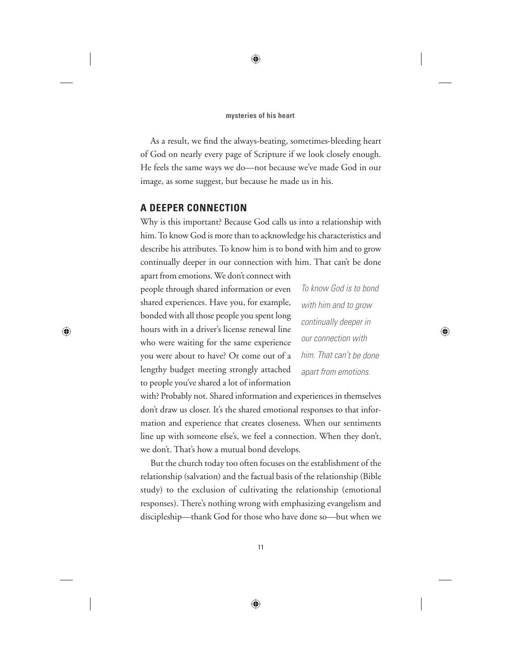As a result, we find the always-beating, sometimes-bleeding heart of God on nearly every page of Scripture if we look closely enough. He feels the same ways we do—not because we've made God in our image, as some suggest, but because he made us in his.

## **A DEEPER CONNECTION**

Why is this important? Because God calls us into a relationship with him. To know God is more than to acknowledge his characteristics and describe his attributes. To know him is to bond with him and to grow continually deeper in our connection with him. That can't be done

apart from emotions. We don't connect with people through shared information or even shared experiences. Have you, for example, bonded with all those people you spent long hours with in a driver's license renewal line who were waiting for the same experience you were about to have? Or come out of a lengthy budget meeting strongly attached to people you've shared a lot of information

*To know God is to bond with him and to grow continually deeper in our connection with him. That can't be done apart from emotions.*

with? Probably not. Shared information and experiences in themselves don't draw us closer. It's the shared emotional responses to that information and experience that creates closeness. When our sentiments line up with someone else's, we feel a connection. When they don't, we don't. That's how a mutual bond develops.

But the church today too often focuses on the establishment of the relationship (salvation) and the factual basis of the relationship (Bible study) to the exclusion of cultivating the relationship (emotional responses). There's nothing wrong with emphasizing evangelism and discipleship—thank God for those who have done so—but when we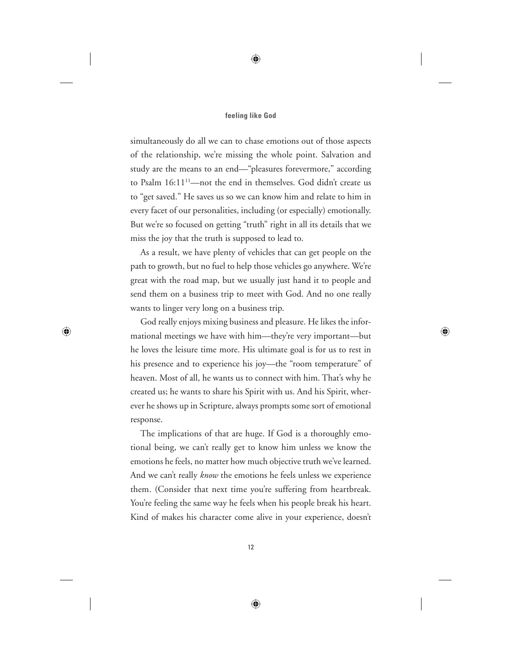simultaneously do all we can to chase emotions out of those aspects of the relationship, we're missing the whole point. Salvation and study are the means to an end—"pleasures forevermore," according to Psalm 16:11<sup>11</sup>—not the end in themselves. God didn't create us to "get saved." He saves us so we can know him and relate to him in every facet of our personalities, including (or especially) emotionally. But we're so focused on getting "truth" right in all its details that we miss the joy that the truth is supposed to lead to.

As a result, we have plenty of vehicles that can get people on the path to growth, but no fuel to help those vehicles go anywhere. We're great with the road map, but we usually just hand it to people and send them on a business trip to meet with God. And no one really wants to linger very long on a business trip.

God really enjoys mixing business and pleasure. He likes the informational meetings we have with him—they're very important—but he loves the leisure time more. His ultimate goal is for us to rest in his presence and to experience his joy—the "room temperature" of heaven. Most of all, he wants us to connect with him. That's why he created us; he wants to share his Spirit with us. And his Spirit, wherever he shows up in Scripture, always prompts some sort of emotional response.

The implications of that are huge. If God is a thoroughly emotional being, we can't really get to know him unless we know the emotions he feels, no matter how much objective truth we've learned. And we can't really *know* the emotions he feels unless we experience them. (Consider that next time you're suffering from heartbreak. You're feeling the same way he feels when his people break his heart. Kind of makes his character come alive in your experience, doesn't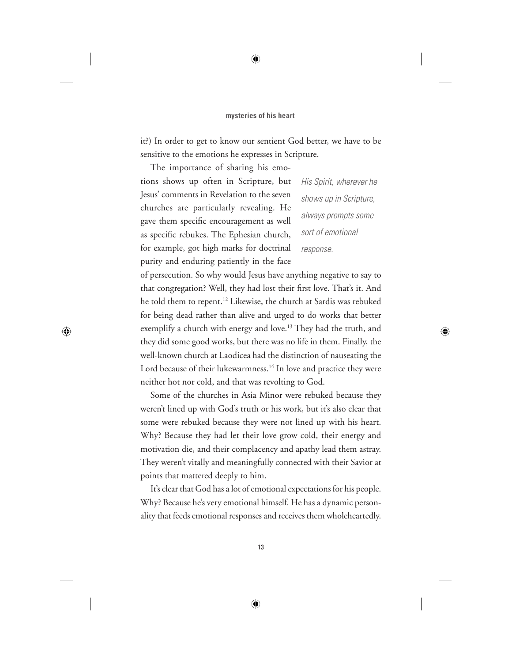it?) In order to get to know our sentient God better, we have to be sensitive to the emotions he expresses in Scripture.

The importance of sharing his emotions shows up often in Scripture, but Jesus' comments in Revelation to the seven churches are particularly revealing. He gave them specific encouragement as well as specific rebukes. The Ephesian church, for example, got high marks for doctrinal purity and enduring patiently in the face

*His Spirit, wherever he shows up in Scripture, always prompts some sort of emotional response.*

of persecution. So why would Jesus have anything negative to say to that congregation? Well, they had lost their first love. That's it. And he told them to repent.12 Likewise, the church at Sardis was rebuked for being dead rather than alive and urged to do works that better exemplify a church with energy and love.<sup>13</sup> They had the truth, and they did some good works, but there was no life in them. Finally, the well-known church at Laodicea had the distinction of nauseating the Lord because of their lukewarmness.<sup>14</sup> In love and practice they were neither hot nor cold, and that was revolting to God.

Some of the churches in Asia Minor were rebuked because they weren't lined up with God's truth or his work, but it's also clear that some were rebuked because they were not lined up with his heart. Why? Because they had let their love grow cold, their energy and motivation die, and their complacency and apathy lead them astray. They weren't vitally and meaningfully connected with their Savior at points that mattered deeply to him.

It's clear that God has a lot of emotional expectations for his people. Why? Because he's very emotional himself. He has a dynamic personality that feeds emotional responses and receives them wholeheartedly.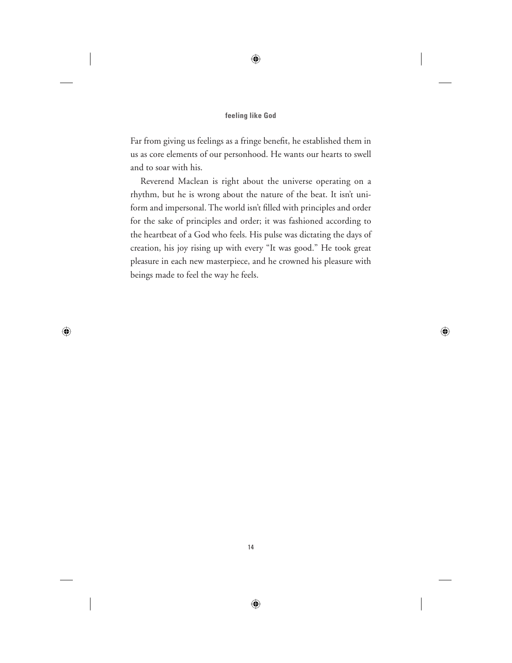Far from giving us feelings as a fringe benefit, he established them in us as core elements of our personhood. He wants our hearts to swell and to soar with his.

Reverend Maclean is right about the universe operating on a rhythm, but he is wrong about the nature of the beat. It isn't uniform and impersonal. The world isn't filled with principles and order for the sake of principles and order; it was fashioned according to the heartbeat of a God who feels. His pulse was dictating the days of creation, his joy rising up with every "It was good." He took great pleasure in each new masterpiece, and he crowned his pleasure with beings made to feel the way he feels.